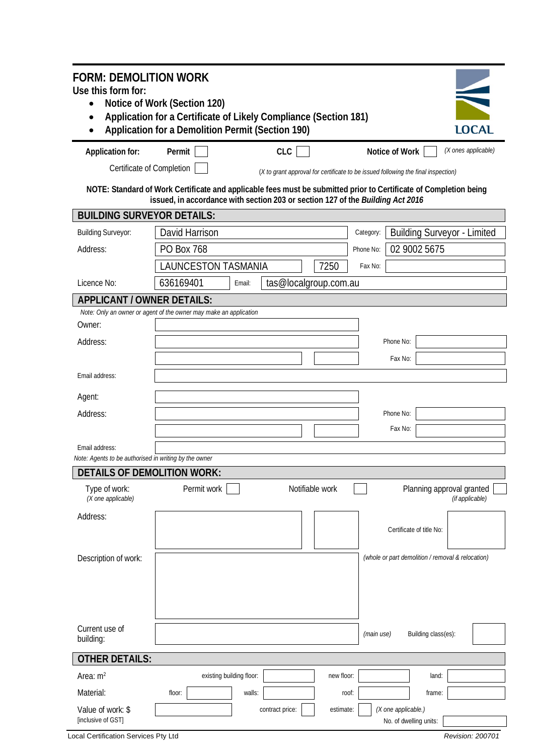| <b>FORM: DEMOLITION WORK</b>                                            |                                                                                                                                                                                                     |                          |                                                                                   |                 |              |                                               |                                                   |                     |              |
|-------------------------------------------------------------------------|-----------------------------------------------------------------------------------------------------------------------------------------------------------------------------------------------------|--------------------------|-----------------------------------------------------------------------------------|-----------------|--------------|-----------------------------------------------|---------------------------------------------------|---------------------|--------------|
| Use this form for:                                                      |                                                                                                                                                                                                     |                          |                                                                                   |                 |              |                                               |                                                   |                     |              |
| $\bullet$<br>$\bullet$                                                  | Notice of Work (Section 120)<br>Application for a Certificate of Likely Compliance (Section 181)                                                                                                    |                          |                                                                                   |                 |              |                                               |                                                   |                     |              |
|                                                                         | Application for a Demolition Permit (Section 190)                                                                                                                                                   |                          |                                                                                   |                 |              |                                               |                                                   |                     | <b>LOCAL</b> |
|                                                                         |                                                                                                                                                                                                     |                          |                                                                                   |                 |              |                                               |                                                   |                     |              |
| Application for:                                                        | Permit                                                                                                                                                                                              |                          | <b>CLC</b>                                                                        |                 |              | Notice of Work                                |                                                   | (X ones applicable) |              |
| Certificate of Completion                                               |                                                                                                                                                                                                     |                          | (X to grant approval for certificate to be issued following the final inspection) |                 |              |                                               |                                                   |                     |              |
|                                                                         | NOTE: Standard of Work Certificate and applicable fees must be submitted prior to Certificate of Completion being<br>issued, in accordance with section 203 or section 127 of the Building Act 2016 |                          |                                                                                   |                 |              |                                               |                                                   |                     |              |
| <b>BUILDING SURVEYOR DETAILS:</b>                                       |                                                                                                                                                                                                     |                          |                                                                                   |                 |              |                                               |                                                   |                     |              |
| <b>Building Surveyor:</b>                                               | David Harrison                                                                                                                                                                                      |                          |                                                                                   |                 | Category:    |                                               | <b>Building Surveyor - Limited</b>                |                     |              |
| Address:                                                                | PO Box 768                                                                                                                                                                                          |                          |                                                                                   | Phone No:       | 02 9002 5675 |                                               |                                                   |                     |              |
|                                                                         | <b>LAUNCESTON TASMANIA</b>                                                                                                                                                                          |                          |                                                                                   | 7250            | Fax No:      |                                               |                                                   |                     |              |
| Licence No:                                                             | 636169401                                                                                                                                                                                           | Email:                   | tas@localgroup.com.au                                                             |                 |              |                                               |                                                   |                     |              |
| APPLICANT / OWNER DETAILS:                                              |                                                                                                                                                                                                     |                          |                                                                                   |                 |              |                                               |                                                   |                     |              |
|                                                                         | Note: Only an owner or agent of the owner may make an application                                                                                                                                   |                          |                                                                                   |                 |              |                                               |                                                   |                     |              |
| Owner:                                                                  |                                                                                                                                                                                                     |                          |                                                                                   |                 |              |                                               |                                                   |                     |              |
| Address:                                                                |                                                                                                                                                                                                     |                          |                                                                                   |                 |              | Phone No:                                     |                                                   |                     |              |
|                                                                         |                                                                                                                                                                                                     |                          |                                                                                   |                 |              | Fax No:                                       |                                                   |                     |              |
| Email address:                                                          |                                                                                                                                                                                                     |                          |                                                                                   |                 |              |                                               |                                                   |                     |              |
| Agent:                                                                  |                                                                                                                                                                                                     |                          |                                                                                   |                 |              |                                               |                                                   |                     |              |
| Address:                                                                |                                                                                                                                                                                                     |                          |                                                                                   |                 |              | Phone No:                                     |                                                   |                     |              |
|                                                                         |                                                                                                                                                                                                     |                          |                                                                                   |                 |              | Fax No:                                       |                                                   |                     |              |
|                                                                         |                                                                                                                                                                                                     |                          |                                                                                   |                 |              |                                               |                                                   |                     |              |
| Email address:<br>Note: Agents to be authorised in writing by the owner |                                                                                                                                                                                                     |                          |                                                                                   |                 |              |                                               |                                                   |                     |              |
| DETAILS OF DEMOLITION WORK:                                             |                                                                                                                                                                                                     |                          |                                                                                   |                 |              |                                               |                                                   |                     |              |
| Type of work:                                                           | Permit work                                                                                                                                                                                         |                          |                                                                                   | Notifiable work |              |                                               | Planning approval granted                         |                     |              |
| (X one applicable)                                                      |                                                                                                                                                                                                     |                          |                                                                                   |                 |              |                                               |                                                   | (if applicable)     |              |
| Address:                                                                |                                                                                                                                                                                                     |                          |                                                                                   |                 |              |                                               |                                                   |                     |              |
|                                                                         |                                                                                                                                                                                                     |                          |                                                                                   |                 |              |                                               | Certificate of title No:                          |                     |              |
| Description of work:                                                    |                                                                                                                                                                                                     |                          |                                                                                   |                 |              |                                               | (whole or part demolition / removal & relocation) |                     |              |
|                                                                         |                                                                                                                                                                                                     |                          |                                                                                   |                 |              |                                               |                                                   |                     |              |
|                                                                         |                                                                                                                                                                                                     |                          |                                                                                   |                 |              |                                               |                                                   |                     |              |
|                                                                         |                                                                                                                                                                                                     |                          |                                                                                   |                 |              |                                               |                                                   |                     |              |
|                                                                         |                                                                                                                                                                                                     |                          |                                                                                   |                 |              |                                               |                                                   |                     |              |
| Current use of<br>building:                                             |                                                                                                                                                                                                     |                          |                                                                                   |                 | (main use)   |                                               | Building class(es):                               |                     |              |
| <b>OTHER DETAILS:</b>                                                   |                                                                                                                                                                                                     |                          |                                                                                   |                 |              |                                               |                                                   |                     |              |
| Area: $m2$                                                              |                                                                                                                                                                                                     | existing building floor: |                                                                                   | new floor:      |              |                                               | land:                                             |                     |              |
|                                                                         |                                                                                                                                                                                                     |                          |                                                                                   |                 |              |                                               |                                                   |                     |              |
| Material:                                                               | floor:                                                                                                                                                                                              | walls:                   |                                                                                   | roof:           |              |                                               | frame:                                            |                     |              |
| Value of work: \$<br>[inclusive of GST]                                 |                                                                                                                                                                                                     |                          | contract price:                                                                   | estimate:       |              | (X one applicable.)<br>No. of dwelling units: |                                                   |                     |              |